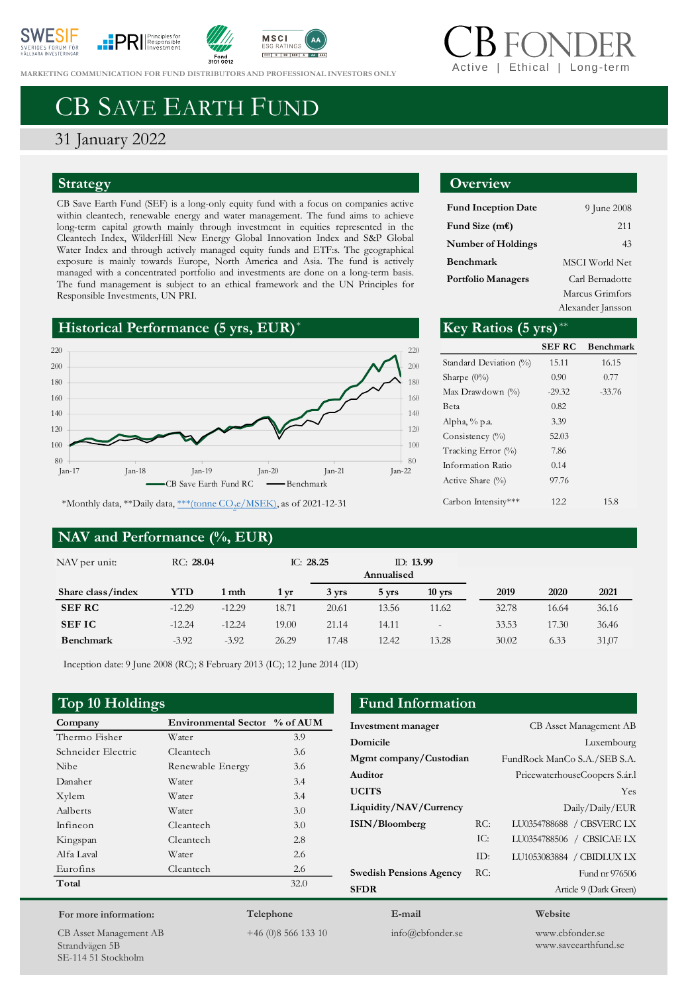









**MARKETING COMMUNICATION FOR FUND DI[STRIBUTORS](https://www.svanen.se/en/funds/save-in-funds/) AND PROFESSIONAL INVESTORS ONLY** 

# CB SAVE EARTH FUND

# 31 January 2022

# **Strategy**

CB Save Earth Fund (SEF) is a long-only equity fund with a focus on companies active within cleantech, renewable energy and water management. The fund aims to achieve long-term capital growth mainly through investment in equities represented in the Cleantech Index, WilderHill New Energy Global Innovation Index and S&P Global Water Index and through actively managed equity funds and ETF:s. The geographical exposure is mainly towards Europe, North America and Asia. The fund is actively managed with a concentrated portfolio and investments are done on a long-term basis. The fund management is subject to an ethical framework and the UN Principles for Responsible Investments, UN PRI.

### **Historical Performance** (5 yrs, EUR)



\*Monthly data, \*\*Daily data, <u>\*\*\*(tonne CO<sub>2</sub>e/MSEK</u>), as of 2021-12-31

### **NAV and Performance (%, EUR)**

# **Overview**

| <b>Fund Inception Date</b> | 9 June 2008           |
|----------------------------|-----------------------|
| Fund Size (m€)             | 211                   |
| Number of Holdings         | 43                    |
| Benchmark                  | <b>MSCI</b> World Net |
| Portfolio Managers         | Carl Bernadotte       |
|                            | Marcus Grimfors       |
|                            |                       |

Alexander Jansson

|          |     | Key Ratios $(5 \text{ yrs})$ ** |               |           |
|----------|-----|---------------------------------|---------------|-----------|
|          | 220 |                                 | <b>SEF RC</b> | Benchmark |
|          | 200 | Standard Deviation (%)          | 15.11         | 16.15     |
|          | 180 | Sharpe $(0\%)$                  | 0.90          | 0.77      |
|          | 160 | Max Drawdown (%)                | $-29.32$      | $-33.76$  |
|          | 140 | Beta                            | 0.82          |           |
|          |     | Alpha, % p.a.                   | 3.39          |           |
|          | 120 | Consistency $(\%)$              | 52.03         |           |
|          | 100 | Tracking Error (%)              | 7.86          |           |
| $Jan-22$ | 80  | Information Ratio               | 0.14          |           |
|          |     | Active Share $(\%)$             | 97.76         |           |
|          |     | Carbon Intensity***             | 12.2          | 15.8      |
|          |     |                                 |               |           |

| NAV per unit:     | RC: 28.04  |          | IC: $28.25$ |       | Annualised | ID: 13.99                |       |       |       |
|-------------------|------------|----------|-------------|-------|------------|--------------------------|-------|-------|-------|
| Share class/index | <b>YTD</b> | 1 mth    | 1 vr        | 3 yrs | 5 vrs      | $10$ yrs                 | 2019  | 2020  | 2021  |
| <b>SEFRC</b>      | $-12.29$   | $-12.29$ | 18.71       | 20.61 | 13.56      | 11.62                    | 32.78 | 16.64 | 36.16 |
| <b>SEFIC</b>      | $-12.24$   | $-12.24$ | 19.00       | 21.14 | 14.11      | $\overline{\phantom{a}}$ | 33.53 | 17.30 | 36.46 |
| <b>Benchmark</b>  | $-3.92$    | $-3.92$  | 26.29       | 17.48 | 12.42      | 13.28                    | 30.02 | 6.33  | 31,07 |

Inception date: 9 June 2008 (RC); 8 February 2013 (IC); 12 June 2014 (ID)

| Company            | Environmental Sector % of AUM |      |
|--------------------|-------------------------------|------|
| Thermo Fisher      | Water                         | 3.9  |
| Schneider Electric | Cleantech                     | 3.6  |
| Nibe.              | Renewable Energy              | 3.6  |
| Danaher            | Water                         | 3.4  |
| Xylem              | Water                         | 3.4  |
| Aalberts           | Water                         | 3.0  |
| Infineon           | Cleantech                     | 3.0  |
| Kingspan           | Cleantech                     | 2.8  |
| Alfa Laval         | Water                         | 2.6  |
| Eurofins           | Cleantech                     | 2.6  |
| Total              |                               | 32.0 |
|                    |                               |      |

# **Top 10 Holdings Fund Information**

| Investment manager             |     | <b>CB</b> Asset Management AB |  |
|--------------------------------|-----|-------------------------------|--|
| Domicile                       |     | Luxembourg                    |  |
| Mgmt company/Custodian         |     | FundRock ManCo S.A./SEB S.A.  |  |
| Auditor                        |     | PricewaterhouseCoopers S.ár.  |  |
| <b>UCITS</b>                   |     | Yes                           |  |
| Liquidity/NAV/Currency         |     | Daily/Daily/EUR               |  |
| ISIN/Bloomberg                 | RC: | LU0354788688 / CBSVERC LX     |  |
|                                | IC: | LU0354788506 / CBSICAE LX     |  |
|                                | ID: | LU1053083884 / CBIDLUX LX     |  |
| <b>Swedish Pensions Agency</b> | RC: | Fund nr 976506                |  |
| <b>SFDR</b>                    |     | Article 9 (Dark Green)        |  |
| E-mail                         |     | Website                       |  |

CB Asset Management AB Strandvägen 5B SE-114 51 Stockholm

**For more information:**

**Telephone** +46 (0)8 566 133 10

info@cbfonder.se

www.cbfonder.se www.saveearthfund.se